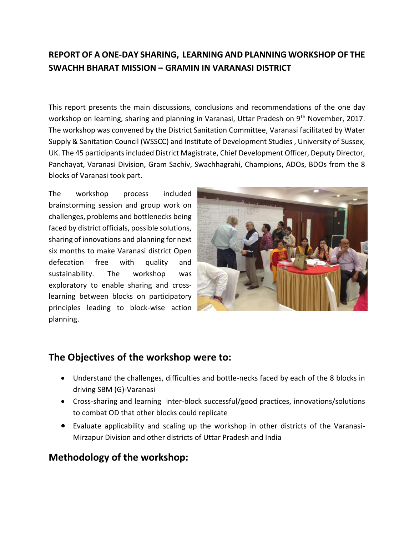## **REPORT OF A ONE-DAY SHARING, LEARNING AND PLANNING WORKSHOP OF THE SWACHH BHARAT MISSION – GRAMIN IN VARANASI DISTRICT**

This report presents the main discussions, conclusions and recommendations of the one day workshop on learning, sharing and planning in Varanasi, Uttar Pradesh on 9<sup>th</sup> November, 2017. The workshop was convened by the District Sanitation Committee, Varanasi facilitated by Water Supply & Sanitation Council (WSSCC) and Institute of Development Studies , University of Sussex, UK. The 45 participants included District Magistrate, Chief Development Officer, Deputy Director, Panchayat, Varanasi Division, Gram Sachiv, Swachhagrahi, Champions, ADOs, BDOs from the 8 blocks of Varanasi took part.

The workshop process included brainstorming session and group work on challenges, problems and bottlenecks being faced by district officials, possible solutions, sharing of innovations and planning for next six months to make Varanasi district Open defecation free with quality and sustainability. The workshop was exploratory to enable sharing and crosslearning between blocks on participatory principles leading to block-wise action planning.



### **The Objectives of the workshop were to:**

- Understand the challenges, difficulties and bottle-necks faced by each of the 8 blocks in driving SBM (G)-Varanasi
- Cross-sharing and learning inter-block successful/good practices, innovations/solutions to combat OD that other blocks could replicate
- Evaluate applicability and scaling up the workshop in other districts of the Varanasi-Mirzapur Division and other districts of Uttar Pradesh and India

## **Methodology of the workshop:**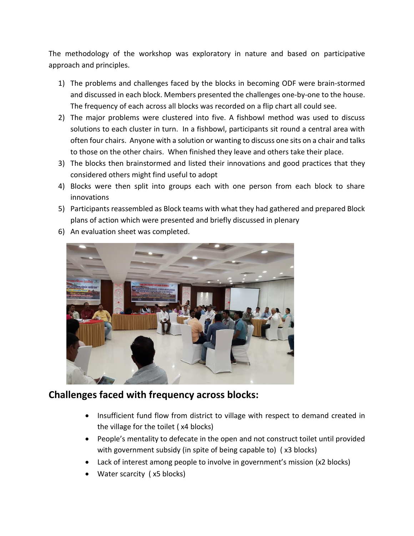The methodology of the workshop was exploratory in nature and based on participative approach and principles.

- 1) The problems and challenges faced by the blocks in becoming ODF were brain-stormed and discussed in each block. Members presented the challenges one-by-one to the house. The frequency of each across all blocks was recorded on a flip chart all could see.
- 2) The major problems were clustered into five. A fishbowl method was used to discuss solutions to each cluster in turn. In a fishbowl, participants sit round a central area with often four chairs. Anyone with a solution or wanting to discuss one sits on a chair and talks to those on the other chairs. When finished they leave and others take their place.
- 3) The blocks then brainstormed and listed their innovations and good practices that they considered others might find useful to adopt
- 4) Blocks were then split into groups each with one person from each block to share innovations
- 5) Participants reassembled as Block teams with what they had gathered and prepared Block plans of action which were presented and briefly discussed in plenary



6) An evaluation sheet was completed.

## **Challenges faced with frequency across blocks:**

- Insufficient fund flow from district to village with respect to demand created in the village for the toilet ( x4 blocks)
- People's mentality to defecate in the open and not construct toilet until provided with government subsidy (in spite of being capable to) ( x3 blocks)
- Lack of interest among people to involve in government's mission (x2 blocks)
- Water scarcity (x5 blocks)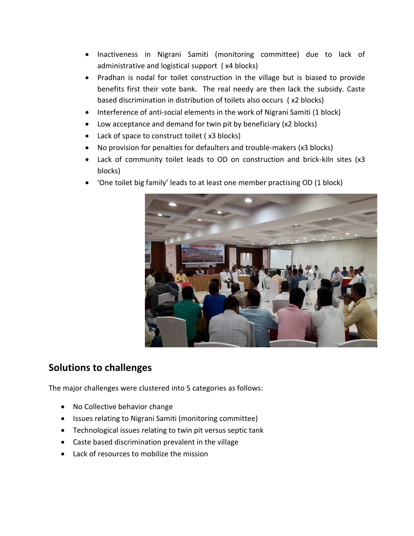- Inactiveness in Nigrani Samiti (monitoring committee) due to lack of administrative and logistical support ( x4 blocks)
- Pradhan is nodal for toilet construction in the village but is biased to provide benefits first their vote bank. The real needy are then lack the subsidy. Caste based discrimination in distribution of toilets also occurs ( x2 blocks)
- Interference of anti-social elements in the work of Nigrani Samiti (1 block)
- Low acceptance and demand for twin pit by beneficiary (x2 blocks)
- Lack of space to construct toilet (x3 blocks)
- No provision for penalties for defaulters and trouble-makers (x3 blocks)
- Lack of community toilet leads to OD on construction and brick-kiln sites (x3 blocks)
- 'One toilet big family' leads to at least one member practising OD (1 block)



### **Solutions to challenges**

The major challenges were clustered into 5 categories as follows:

- No Collective behavior change
- Issues relating to Nigrani Samiti (monitoring committee)
- Technological issues relating to twin pit versus septic tank
- Caste based discrimination prevalent in the village
- Lack of resources to mobilize the mission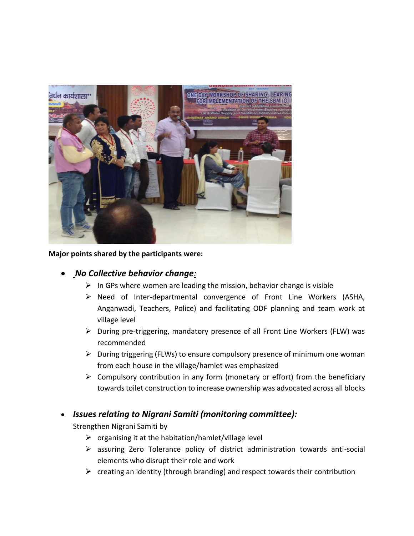

**Major points shared by the participants were:**

#### • *No Collective behavior change:*

- $\triangleright$  In GPs where women are leading the mission, behavior change is visible
- ➢ Need of Inter-departmental convergence of Front Line Workers (ASHA, Anganwadi, Teachers, Police) and facilitating ODF planning and team work at village level
- ➢ During pre-triggering, mandatory presence of all Front Line Workers (FLW) was recommended
- $\triangleright$  During triggering (FLWs) to ensure compulsory presence of minimum one woman from each house in the village/hamlet was emphasized
- $\triangleright$  Compulsory contribution in any form (monetary or effort) from the beneficiary towards toilet construction to increase ownership was advocated across all blocks

#### • *Issues relating to Nigrani Samiti (monitoring committee):*

Strengthen Nigrani Samiti by

- $\triangleright$  organising it at the habitation/hamlet/village level
- ➢ assuring Zero Tolerance policy of district administration towards anti-social elements who disrupt their role and work
- $\triangleright$  creating an identity (through branding) and respect towards their contribution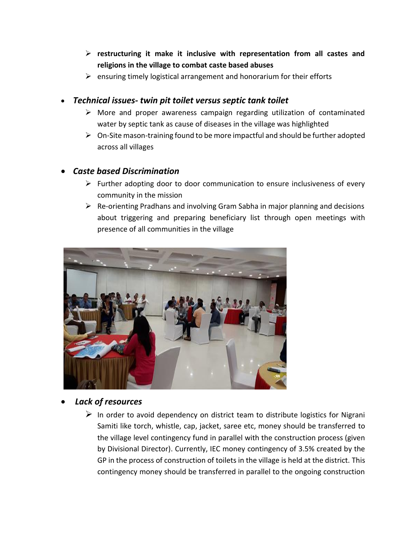- ➢ **restructuring it make it inclusive with representation from all castes and religions in the village to combat caste based abuses**
- $\triangleright$  ensuring timely logistical arrangement and honorarium for their efforts

#### • *Technical issues- twin pit toilet versus septic tank toilet*

- ➢ More and proper awareness campaign regarding utilization of contaminated water by septic tank as cause of diseases in the village was highlighted
- $\triangleright$  On-Site mason-training found to be more impactful and should be further adopted across all villages

#### • *Caste based Discrimination*

- ➢ Further adopting door to door communication to ensure inclusiveness of every community in the mission
- $\triangleright$  Re-orienting Pradhans and involving Gram Sabha in major planning and decisions about triggering and preparing beneficiary list through open meetings with presence of all communities in the village



#### • *Lack of resources*

 $\triangleright$  In order to avoid dependency on district team to distribute logistics for Nigrani Samiti like torch, whistle, cap, jacket, saree etc, money should be transferred to the village level contingency fund in parallel with the construction process (given by Divisional Director). Currently, IEC money contingency of 3.5% created by the GP in the process of construction of toilets in the village is held at the district. This contingency money should be transferred in parallel to the ongoing construction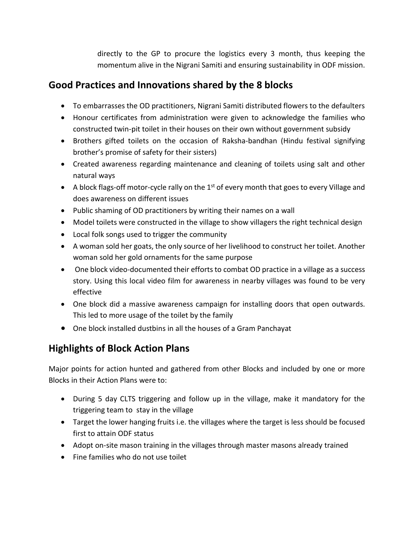directly to the GP to procure the logistics every 3 month, thus keeping the momentum alive in the Nigrani Samiti and ensuring sustainability in ODF mission.

### **Good Practices and Innovations shared by the 8 blocks**

- To embarrasses the OD practitioners, Nigrani Samiti distributed flowers to the defaulters
- Honour certificates from administration were given to acknowledge the families who constructed twin-pit toilet in their houses on their own without government subsidy
- Brothers gifted toilets on the occasion of Raksha-bandhan (Hindu festival signifying brother's promise of safety for their sisters)
- Created awareness regarding maintenance and cleaning of toilets using salt and other natural ways
- A block flags-off motor-cycle rally on the  $1<sup>st</sup>$  of every month that goes to every Village and does awareness on different issues
- Public shaming of OD practitioners by writing their names on a wall
- Model toilets were constructed in the village to show villagers the right technical design
- Local folk songs used to trigger the community
- A woman sold her goats, the only source of her livelihood to construct her toilet. Another woman sold her gold ornaments for the same purpose
- One block video-documented their efforts to combat OD practice in a village as a success story. Using this local video film for awareness in nearby villages was found to be very effective
- One block did a massive awareness campaign for installing doors that open outwards. This led to more usage of the toilet by the family
- One block installed dustbins in all the houses of a Gram Panchayat

# **Highlights of Block Action Plans**

Major points for action hunted and gathered from other Blocks and included by one or more Blocks in their Action Plans were to:

- During 5 day CLTS triggering and follow up in the village, make it mandatory for the triggering team to stay in the village
- Target the lower hanging fruits i.e. the villages where the target is less should be focused first to attain ODF status
- Adopt on-site mason training in the villages through master masons already trained
- Fine families who do not use toilet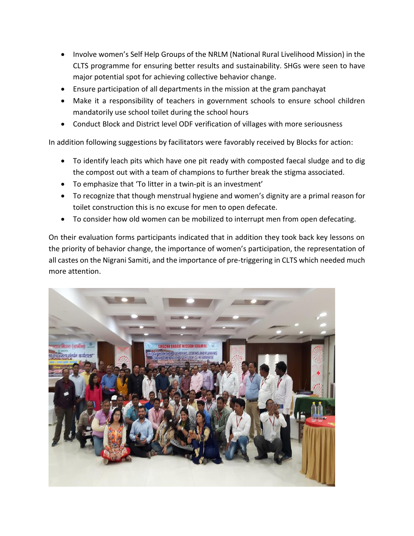- Involve women's Self Help Groups of the NRLM (National Rural Livelihood Mission) in the CLTS programme for ensuring better results and sustainability. SHGs were seen to have major potential spot for achieving collective behavior change.
- Ensure participation of all departments in the mission at the gram panchayat
- Make it a responsibility of teachers in government schools to ensure school children mandatorily use school toilet during the school hours
- Conduct Block and District level ODF verification of villages with more seriousness

In addition following suggestions by facilitators were favorably received by Blocks for action:

- To identify leach pits which have one pit ready with composted faecal sludge and to dig the compost out with a team of champions to further break the stigma associated.
- To emphasize that 'To litter in a twin-pit is an investment'
- To recognize that though menstrual hygiene and women's dignity are a primal reason for toilet construction this is no excuse for men to open defecate.
- To consider how old women can be mobilized to interrupt men from open defecating.

On their evaluation forms participants indicated that in addition they took back key lessons on the priority of behavior change, the importance of women's participation, the representation of all castes on the Nigrani Samiti, and the importance of pre-triggering in CLTS which needed much more attention.